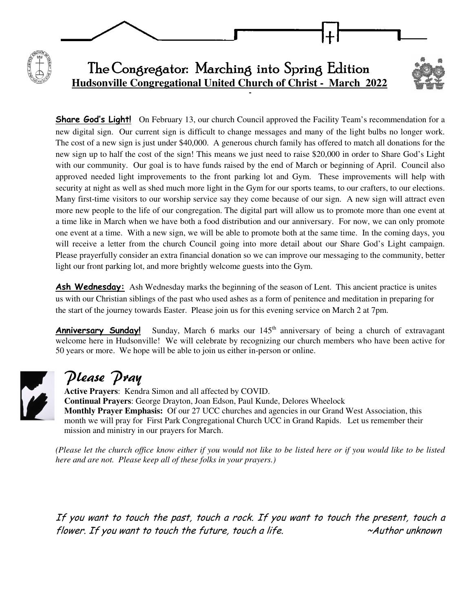

**Share God's Light!** On February 13, our church Council approved the Facility Team's recommendation for a new digital sign. Our current sign is difficult to change messages and many of the light bulbs no longer work. The cost of a new sign is just under \$40,000. A generous church family has offered to match all donations for the new sign up to half the cost of the sign! This means we just need to raise \$20,000 in order to Share God's Light with our community. Our goal is to have funds raised by the end of March or beginning of April. Council also approved needed light improvements to the front parking lot and Gym. These improvements will help with security at night as well as shed much more light in the Gym for our sports teams, to our crafters, to our elections. Many first-time visitors to our worship service say they come because of our sign. A new sign will attract even more new people to the life of our congregation. The digital part will allow us to promote more than one event at a time like in March when we have both a food distribution and our anniversary. For now, we can only promote one event at a time. With a new sign, we will be able to promote both at the same time. In the coming days, you will receive a letter from the church Council going into more detail about our Share God's Light campaign. Please prayerfully consider an extra financial donation so we can improve our messaging to the community, better light our front parking lot, and more brightly welcome guests into the Gym.

Ash Wednesday: Ash Wednesday marks the beginning of the season of Lent. This ancient practice is unites us with our Christian siblings of the past who used ashes as a form of penitence and meditation in preparing for the start of the journey towards Easter. Please join us for this evening service on March 2 at 7pm.

**Anniversary Sunday!** Sunday, March 6 marks our  $145<sup>th</sup>$  anniversary of being a church of extravagant welcome here in Hudsonville! We will celebrate by recognizing our church members who have been active for 50 years or more. We hope will be able to join us either in-person or online.



# Please Pray

**Active Prayers**: Kendra Simon and all affected by COVID. **Continual Prayers**: George Drayton, Joan Edson, Paul Kunde, Delores Wheelock **Monthly Prayer Emphasis:** Of our 27 UCC churches and agencies in our Grand West Association, this month we will pray for First Park Congregational Church UCC in Grand Rapids. Let us remember their mission and ministry in our prayers for March.

*(Please let the church office know either if you would not like to be listed here or if you would like to be listed here and are not. Please keep all of these folks in your prayers.)*

If you want to touch the past, touch a rock. If you want to touch the present, touch a flower. If you want to touch the future, touch a life. ~Author unknown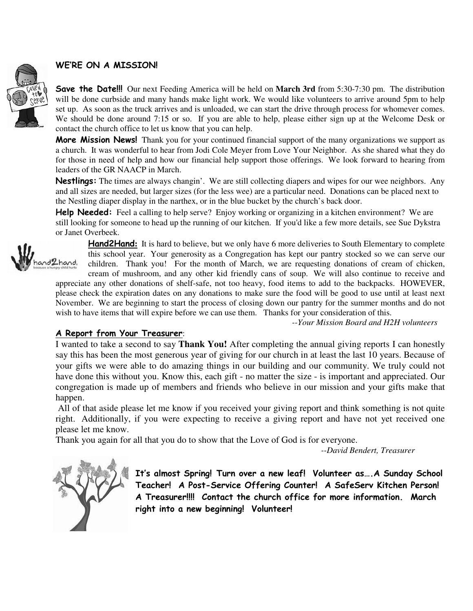## WE'RE ON A MISSION!

Save the Date!!! Our next Feeding America will be held on **March 3rd** from 5:30-7:30 pm. The distribution will be done curbside and many hands make light work. We would like volunteers to arrive around 5pm to help set up. As soon as the truck arrives and is unloaded, we can start the drive through process for whomever comes. We should be done around 7:15 or so. If you are able to help, please either sign up at the Welcome Desk or contact the church office to let us know that you can help.

More Mission News! Thank you for your continued financial support of the many organizations we support as a church. It was wonderful to hear from Jodi Cole Meyer from Love Your Neighbor. As she shared what they do for those in need of help and how our financial help support those offerings. We look forward to hearing from leaders of the GR NAACP in March.

Nestlings: The times are always changin'. We are still collecting diapers and wipes for our wee neighbors. Any and all sizes are needed, but larger sizes (for the less wee) are a particular need. Donations can be placed next to the Nestling diaper display in the narthex, or in the blue bucket by the church's back door.

Help Needed: Feel a calling to help serve? Enjoy working or organizing in a kitchen environment? We are still looking for someone to head up the running of our kitchen. If you'd like a few more details, see Sue Dykstra or Janet Overbeek.



Hand2Hand**:** It is hard to believe, but we only have 6 more deliveries to South Elementary to complete this school year. Your generosity as a Congregation has kept our pantry stocked so we can serve our children. Thank you! For the month of March, we are requesting donations of cream of chicken,

cream of mushroom, and any other kid friendly cans of soup. We will also continue to receive and appreciate any other donations of shelf-safe, not too heavy, food items to add to the backpacks. HOWEVER, please check the expiration dates on any donations to make sure the food will be good to use until at least next November. We are beginning to start the process of closing down our pantry for the summer months and do not wish to have items that will expire before we can use them. Thanks for your consideration of this.

*--Your Mission Board and H2H volunteers*

### A Report from Your Treasurer:

I wanted to take a second to say **Thank You!** After completing the annual giving reports I can honestly say this has been the most generous year of giving for our church in at least the last 10 years. Because of your gifts we were able to do amazing things in our building and our community. We truly could not have done this without you. Know this, each gift - no matter the size - is important and appreciated. Our congregation is made up of members and friends who believe in our mission and your gifts make that happen.

 All of that aside please let me know if you received your giving report and think something is not quite right. Additionally, if you were expecting to receive a giving report and have not yet received one please let me know.

Thank you again for all that you do to show that the Love of God is for everyone.

 *--David Bendert, Treasurer* 



It's almost Spring! Turn over a new leaf! Volunteer as….A Sunday School Teacher! A Post-Service Offering Counter! A SafeServ Kitchen Person! A Treasurer!!!! Contact the church office for more information. March right into a new beginning! Volunteer!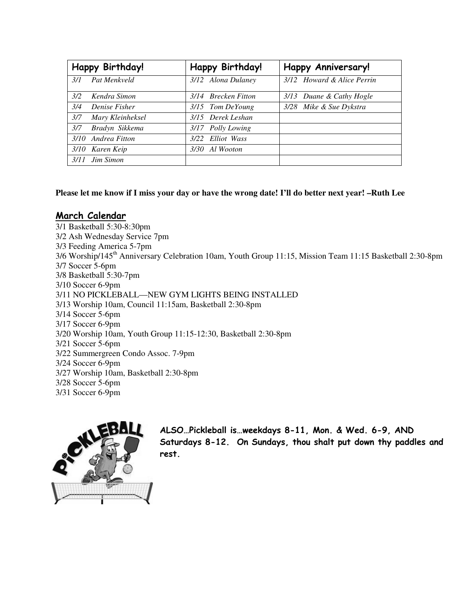| Happy Birthday!         | Happy Birthday!     | <b>Happy Anniversary!</b>  |
|-------------------------|---------------------|----------------------------|
| Pat Menkveld<br>3/1     | 3/12 Alona Dulaney  | 3/12 Howard & Alice Perrin |
| 3/2<br>Kendra Simon     | 3/14 Brecken Fitton | 3/13 Duane & Cathy Hogle   |
| 3/4<br>Denise Fisher    | 3/15 Tom DeYoung    | 3/28 Mike & Sue Dykstra    |
| 3/7<br>Mary Kleinheksel | 3/15 Derek Leshan   |                            |
| 3/7<br>Bradyn Sikkema   | 3/17 Polly Lowing   |                            |
| 3/10 Andrea Fitton      | 3/22 Elliot Wass    |                            |
| 3/10 Karen Keip         | Al Wooton<br>3/30   |                            |
| Jim Simon<br>3/11       |                     |                            |

#### **Please let me know if I miss your day or have the wrong date! I'll do better next year! –Ruth Lee**

#### March Calendar

3/1 Basketball 5:30-8:30pm 3/2 Ash Wednesday Service 7pm 3/3 Feeding America 5-7pm 3/6 Worship/145th Anniversary Celebration 10am, Youth Group 11:15, Mission Team 11:15 Basketball 2:30-8pm 3/7 Soccer 5-6pm 3/8 Basketball 5:30-7pm 3/10 Soccer 6-9pm 3/11 NO PICKLEBALL—NEW GYM LIGHTS BEING INSTALLED 3/13 Worship 10am, Council 11:15am, Basketball 2:30-8pm 3/14 Soccer 5-6pm 3/17 Soccer 6-9pm 3/20 Worship 10am, Youth Group 11:15-12:30, Basketball 2:30-8pm 3/21 Soccer 5-6pm 3/22 Summergreen Condo Assoc. 7-9pm 3/24 Soccer 6-9pm 3/27 Worship 10am, Basketball 2:30-8pm 3/28 Soccer 5-6pm 3/31 Soccer 6-9pm



ALSO…Pickleball is…weekdays 8-11, Mon. & Wed. 6-9, AND Saturdays 8-12. On Sundays, thou shalt put down thy paddles and rest.